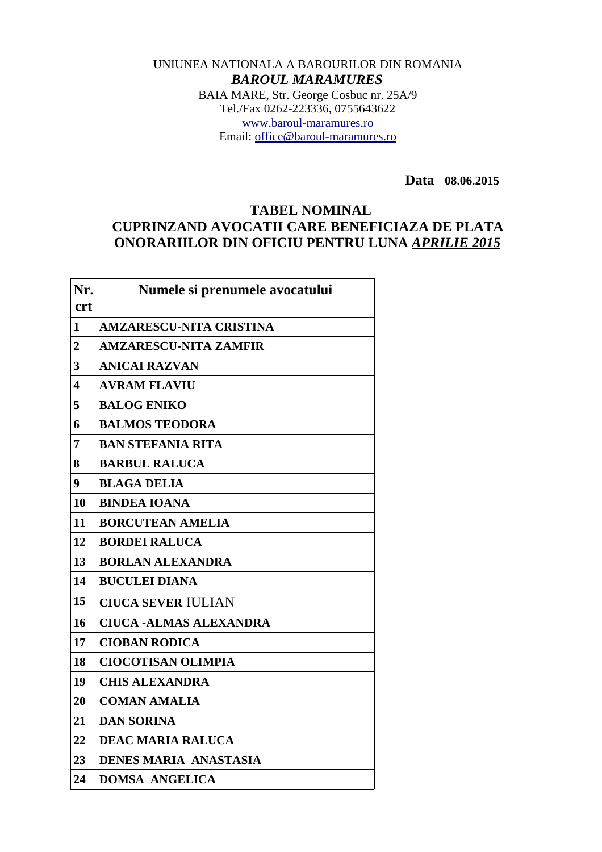## UNIUNEA NATIONALA A BAROURILOR DIN ROMANIA *BAROUL MARAMURES* BAIA MARE, Str. George Cosbuc nr. 25A/9 Tel./Fax 0262-223336, 0755643622 [www.baroul-maramures.ro](http://www.baroul-maramures.ro/) Email: [office@baroul-maramures.ro](mailto:office@baroul-maramures.ro)

 **Data 08.06.2015**

## **TABEL NOMINAL CUPRINZAND AVOCATII CARE BENEFICIAZA DE PLATA ONORARIILOR DIN OFICIU PENTRU LUNA** *APRILIE 2015*

| Nr.<br><b>crt</b> | Numele si prenumele avocatului |
|-------------------|--------------------------------|
| $\mathbf{1}$      | <b>AMZARESCU-NITA CRISTINA</b> |
| 2                 | <b>AMZARESCU-NITA ZAMFIR</b>   |
| 3                 | <b>ANICAI RAZVAN</b>           |
| 4                 | <b>AVRAM FLAVIU</b>            |
| 5                 | <b>BALOG ENIKO</b>             |
| 6                 | <b>BALMOS TEODORA</b>          |
| 7                 | <b>BAN STEFANIA RITA</b>       |
| 8                 | <b>BARBUL RALUCA</b>           |
| 9                 | <b>BLAGA DELIA</b>             |
| 10                | <b>BINDEA IOANA</b>            |
| 11                | <b>BORCUTEAN AMELIA</b>        |
| 12                | <b>BORDEI RALUCA</b>           |
| 13                | <b>BORLAN ALEXANDRA</b>        |
| 14                | <b>BUCULEI DIANA</b>           |
| 15                | <b>CIUCA SEVER IULIAN</b>      |
| 16                | <b>CIUCA -ALMAS ALEXANDRA</b>  |
| 17                | <b>CIOBAN RODICA</b>           |
| 18                | <b>CIOCOTISAN OLIMPIA</b>      |
| 19                | <b>CHIS ALEXANDRA</b>          |
| 20                | <b>COMAN AMALIA</b>            |
| 21                | <b>DAN SORINA</b>              |
| 22                | <b>DEAC MARIA RALUCA</b>       |
| 23                | DENES MARIA ANASTASIA          |
| 24                | <b>DOMSA ANGELICA</b>          |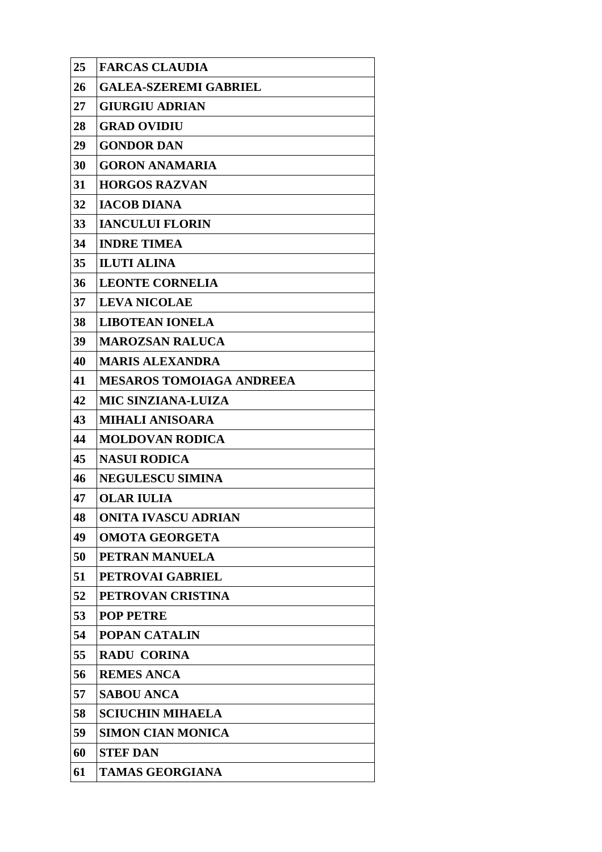| 25 | <b>FARCAS CLAUDIA</b>           |
|----|---------------------------------|
| 26 | <b>GALEA-SZEREMI GABRIEL</b>    |
| 27 | <b>GIURGIU ADRIAN</b>           |
| 28 | <b>GRAD OVIDIU</b>              |
| 29 | <b>GONDOR DAN</b>               |
| 30 | <b>GORON ANAMARIA</b>           |
| 31 | <b>HORGOS RAZVAN</b>            |
| 32 | <b>IACOB DIANA</b>              |
| 33 | <b>IANCULUI FLORIN</b>          |
| 34 | <b>INDRE TIMEA</b>              |
| 35 | <b>ILUTI ALINA</b>              |
| 36 | <b>LEONTE CORNELIA</b>          |
| 37 | <b>LEVA NICOLAE</b>             |
| 38 | <b>LIBOTEAN IONELA</b>          |
| 39 | <b>MAROZSAN RALUCA</b>          |
| 40 | <b>MARIS ALEXANDRA</b>          |
| 41 | <b>MESAROS TOMOIAGA ANDREEA</b> |
| 42 | <b>MIC SINZIANA-LUIZA</b>       |
| 43 | <b>MIHALI ANISOARA</b>          |
| 44 | <b>MOLDOVAN RODICA</b>          |
| 45 | <b>NASUI RODICA</b>             |
| 46 | <b>NEGULESCU SIMINA</b>         |
| 47 | <b>OLAR IULIA</b>               |
| 48 | <b>ONITA IVASCU ADRIAN</b>      |
| 49 | <b>OMOTA GEORGETA</b>           |
| 50 | PETRAN MANUELA                  |
| 51 | PETROVAI GABRIEL                |
| 52 | PETROVAN CRISTINA               |
| 53 | <b>POP PETRE</b>                |
| 54 | <b>POPAN CATALIN</b>            |
| 55 | <b>RADU CORINA</b>              |
| 56 | <b>REMES ANCA</b>               |
| 57 | <b>SABOU ANCA</b>               |
| 58 | <b>SCIUCHIN MIHAELA</b>         |
| 59 | <b>SIMON CIAN MONICA</b>        |
| 60 | <b>STEF DAN</b>                 |
| 61 | <b>TAMAS GEORGIANA</b>          |